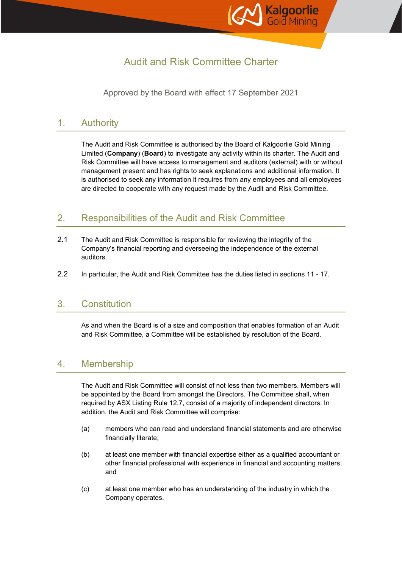

# Audit and Risk Committee Charter

Approved by the Board with effect 17 September 2021

# 1. Authority

The Audit and Risk Committee is authorised by the Board of Kalgoorlie Gold Mining Limited (**Company**) (**Board**) to investigate any activity within its charter. The Audit and Risk Committee will have access to management and auditors (external) with or without management present and has rights to seek explanations and additional information. It is authorised to seek any information it requires from any employees and all employees are directed to cooperate with any request made by the Audit and Risk Committee.

# 2. Responsibilities of the Audit and Risk Committee

- 2.1 The Audit and Risk Committee is responsible for reviewing the integrity of the Company's financial reporting and overseeing the independence of the external auditors.
- 2.2 In particular, the Audit and Risk Committee has the duties listed in sections 11 17.

#### 3. Constitution

As and when the Board is of a size and composition that enables formation of an Audit and Risk Committee, a Committee will be established by resolution of the Board.

# 4. Membership

The Audit and Risk Committee will consist of not less than two members. Members will be appointed by the Board from amongst the Directors. The Committee shall, when required by ASX Listing Rule 12.7, consist of a majority of independent directors. In addition, the Audit and Risk Committee will comprise:

- (a) members who can read and understand financial statements and are otherwise financially literate;
- (b) at least one member with financial expertise either as a qualified accountant or other financial professional with experience in financial and accounting matters; and
- (c) at least one member who has an understanding of the industry in which the Company operates.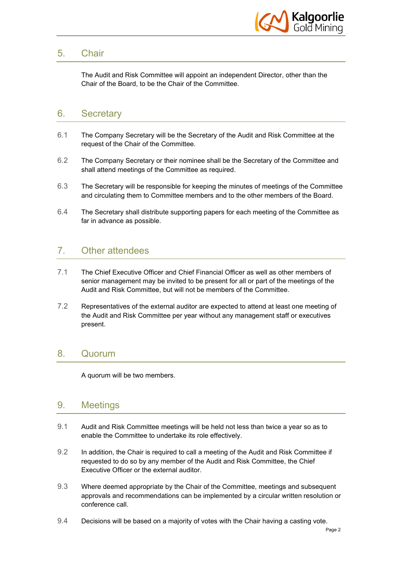

# 5. Chair

The Audit and Risk Committee will appoint an independent Director, other than the Chair of the Board, to be the Chair of the Committee.

### 6. Secretary

- 6.1 The Company Secretary will be the Secretary of the Audit and Risk Committee at the request of the Chair of the Committee.
- 6.2 The Company Secretary or their nominee shall be the Secretary of the Committee and shall attend meetings of the Committee as required.
- 6.3 The Secretary will be responsible for keeping the minutes of meetings of the Committee and circulating them to Committee members and to the other members of the Board.
- 6.4 The Secretary shall distribute supporting papers for each meeting of the Committee as far in advance as possible.

# 7. Other attendees

- 7.1 The Chief Executive Officer and Chief Financial Officer as well as other members of senior management may be invited to be present for all or part of the meetings of the Audit and Risk Committee, but will not be members of the Committee.
- 7.2 Representatives of the external auditor are expected to attend at least one meeting of the Audit and Risk Committee per year without any management staff or executives present.

#### 8. Quorum

A quorum will be two members.

#### 9. Meetings

- 9.1 Audit and Risk Committee meetings will be held not less than twice a year so as to enable the Committee to undertake its role effectively.
- 9.2 In addition, the Chair is required to call a meeting of the Audit and Risk Committee if requested to do so by any member of the Audit and Risk Committee, the Chief Executive Officer or the external auditor.
- 9.3 Where deemed appropriate by the Chair of the Committee, meetings and subsequent approvals and recommendations can be implemented by a circular written resolution or conference call.
- 9.4 Decisions will be based on a majority of votes with the Chair having a casting vote.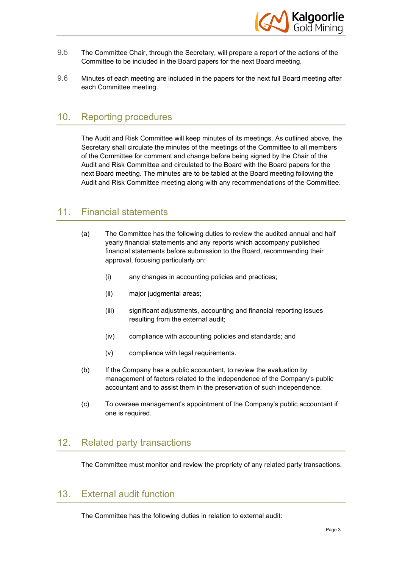

- 9.5 The Committee Chair, through the Secretary, will prepare a report of the actions of the Committee to be included in the Board papers for the next Board meeting.
- 9.6 Minutes of each meeting are included in the papers for the next full Board meeting after each Committee meeting.

### 10. Reporting procedures

The Audit and Risk Committee will keep minutes of its meetings. As outlined above, the Secretary shall circulate the minutes of the meetings of the Committee to all members of the Committee for comment and change before being signed by the Chair of the Audit and Risk Committee and circulated to the Board with the Board papers for the next Board meeting. The minutes are to be tabled at the Board meeting following the Audit and Risk Committee meeting along with any recommendations of the Committee.

#### 11. Financial statements

- (a) The Committee has the following duties to review the audited annual and half yearly financial statements and any reports which accompany published financial statements before submission to the Board, recommending their approval, focusing particularly on:
	- (i) any changes in accounting policies and practices;
	- (ii) major judgmental areas;
	- (iii) significant adjustments, accounting and financial reporting issues resulting from the external audit;
	- (iv) compliance with accounting policies and standards; and
	- (v) compliance with legal requirements.
- (b) If the Company has a public accountant, to review the evaluation by management of factors related to the independence of the Company's public accountant and to assist them in the preservation of such independence.
- (c) To oversee management's appointment of the Company's public accountant if one is required.

#### 12. Related party transactions

The Committee must monitor and review the propriety of any related party transactions.

### 13. External audit function

The Committee has the following duties in relation to external audit: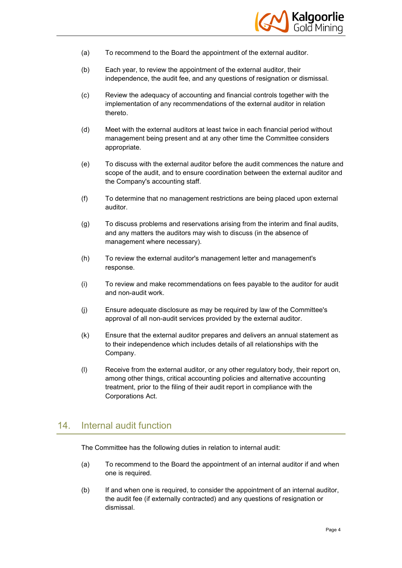

- (a) To recommend to the Board the appointment of the external auditor.
- (b) Each year, to review the appointment of the external auditor, their independence, the audit fee, and any questions of resignation or dismissal.
- (c) Review the adequacy of accounting and financial controls together with the implementation of any recommendations of the external auditor in relation thereto.
- (d) Meet with the external auditors at least twice in each financial period without management being present and at any other time the Committee considers appropriate.
- (e) To discuss with the external auditor before the audit commences the nature and scope of the audit, and to ensure coordination between the external auditor and the Company's accounting staff.
- (f) To determine that no management restrictions are being placed upon external auditor.
- (g) To discuss problems and reservations arising from the interim and final audits, and any matters the auditors may wish to discuss (in the absence of management where necessary).
- (h) To review the external auditor's management letter and management's response.
- (i) To review and make recommendations on fees payable to the auditor for audit and non-audit work.
- (j) Ensure adequate disclosure as may be required by law of the Committee's approval of all non-audit services provided by the external auditor.
- (k) Ensure that the external auditor prepares and delivers an annual statement as to their independence which includes details of all relationships with the Company.
- (l) Receive from the external auditor, or any other regulatory body, their report on, among other things, critical accounting policies and alternative accounting treatment, prior to the filing of their audit report in compliance with the Corporations Act.

# 14. Internal audit function

The Committee has the following duties in relation to internal audit:

- (a) To recommend to the Board the appointment of an internal auditor if and when one is required.
- (b) If and when one is required, to consider the appointment of an internal auditor, the audit fee (if externally contracted) and any questions of resignation or dismissal.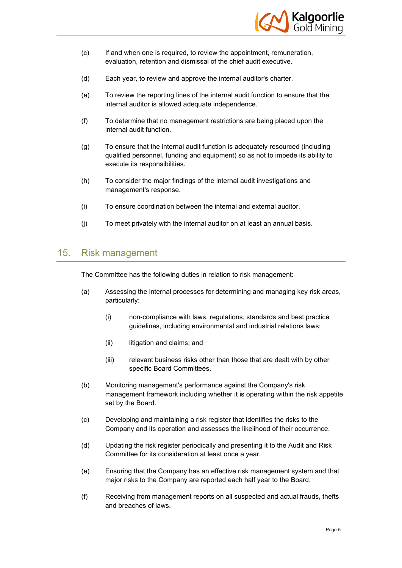

- (c) If and when one is required, to review the appointment, remuneration, evaluation, retention and dismissal of the chief audit executive.
- (d) Each year, to review and approve the internal auditor's charter.
- (e) To review the reporting lines of the internal audit function to ensure that the internal auditor is allowed adequate independence.
- (f) To determine that no management restrictions are being placed upon the internal audit function.
- (g) To ensure that the internal audit function is adequately resourced (including qualified personnel, funding and equipment) so as not to impede its ability to execute its responsibilities.
- (h) To consider the major findings of the internal audit investigations and management's response.
- (i) To ensure coordination between the internal and external auditor.
- (j) To meet privately with the internal auditor on at least an annual basis.

#### 15. Risk management

The Committee has the following duties in relation to risk management:

- (a) Assessing the internal processes for determining and managing key risk areas, particularly:
	- (i) non-compliance with laws, regulations, standards and best practice guidelines, including environmental and industrial relations laws;
	- (ii) litigation and claims; and
	- (iii) relevant business risks other than those that are dealt with by other specific Board Committees.
- (b) Monitoring management's performance against the Company's risk management framework including whether it is operating within the risk appetite set by the Board.
- (c) Developing and maintaining a risk register that identifies the risks to the Company and its operation and assesses the likelihood of their occurrence.
- (d) Updating the risk register periodically and presenting it to the Audit and Risk Committee for its consideration at least once a year.
- (e) Ensuring that the Company has an effective risk management system and that major risks to the Company are reported each half year to the Board.
- (f) Receiving from management reports on all suspected and actual frauds, thefts and breaches of laws.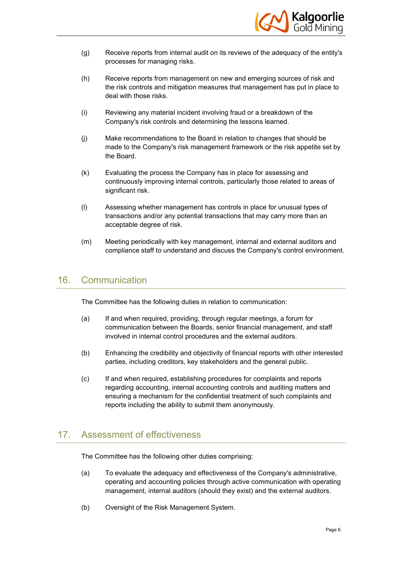

- (g) Receive reports from internal audit on its reviews of the adequacy of the entity's processes for managing risks.
- (h) Receive reports from management on new and emerging sources of risk and the risk controls and mitigation measures that management has put in place to deal with those risks.
- (i) Reviewing any material incident involving fraud or a breakdown of the Company's risk controls and determining the lessons learned.
- (j) Make recommendations to the Board in relation to changes that should be made to the Company's risk management framework or the risk appetite set by the Board.
- (k) Evaluating the process the Company has in place for assessing and continuously improving internal controls, particularly those related to areas of significant risk.
- (l) Assessing whether management has controls in place for unusual types of transactions and/or any potential transactions that may carry more than an acceptable degree of risk.
- (m) Meeting periodically with key management, internal and external auditors and compliance staff to understand and discuss the Company's control environment.

# 16. Communication

The Committee has the following duties in relation to communication:

- (a) If and when required, providing, through regular meetings, a forum for communication between the Boards, senior financial management, and staff involved in internal control procedures and the external auditors.
- (b) Enhancing the credibility and objectivity of financial reports with other interested parties, including creditors, key stakeholders and the general public.
- (c) If and when required, establishing procedures for complaints and reports regarding accounting, internal accounting controls and auditing matters and ensuring a mechanism for the confidential treatment of such complaints and reports including the ability to submit them anonymously.

# 17. Assessment of effectiveness

The Committee has the following other duties comprising:

- (a) To evaluate the adequacy and effectiveness of the Company's administrative, operating and accounting policies through active communication with operating management, internal auditors (should they exist) and the external auditors.
- (b) Oversight of the Risk Management System.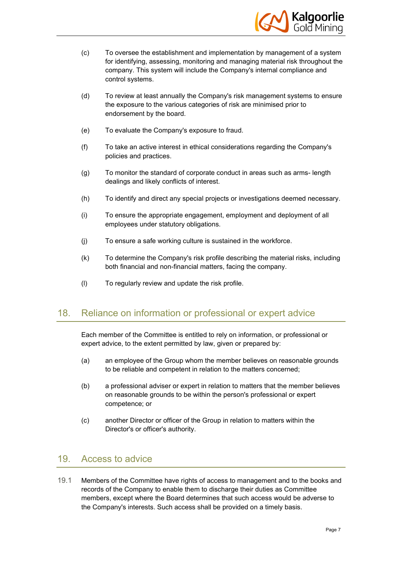

- (c) To oversee the establishment and implementation by management of a system for identifying, assessing, monitoring and managing material risk throughout the company. This system will include the Company's internal compliance and control systems.
- (d) To review at least annually the Company's risk management systems to ensure the exposure to the various categories of risk are minimised prior to endorsement by the board.
- (e) To evaluate the Company's exposure to fraud.
- (f) To take an active interest in ethical considerations regarding the Company's policies and practices.
- (g) To monitor the standard of corporate conduct in areas such as arms- length dealings and likely conflicts of interest.
- (h) To identify and direct any special projects or investigations deemed necessary.
- (i) To ensure the appropriate engagement, employment and deployment of all employees under statutory obligations.
- (j) To ensure a safe working culture is sustained in the workforce.
- (k) To determine the Company's risk profile describing the material risks, including both financial and non-financial matters, facing the company.
- (l) To regularly review and update the risk profile.

#### 18. Reliance on information or professional or expert advice

Each member of the Committee is entitled to rely on information, or professional or expert advice, to the extent permitted by law, given or prepared by:

- (a) an employee of the Group whom the member believes on reasonable grounds to be reliable and competent in relation to the matters concerned;
- (b) a professional adviser or expert in relation to matters that the member believes on reasonable grounds to be within the person's professional or expert competence; or
- (c) another Director or officer of the Group in relation to matters within the Director's or officer's authority.

#### 19. Access to advice

19.1 Members of the Committee have rights of access to management and to the books and records of the Company to enable them to discharge their duties as Committee members, except where the Board determines that such access would be adverse to the Company's interests. Such access shall be provided on a timely basis.